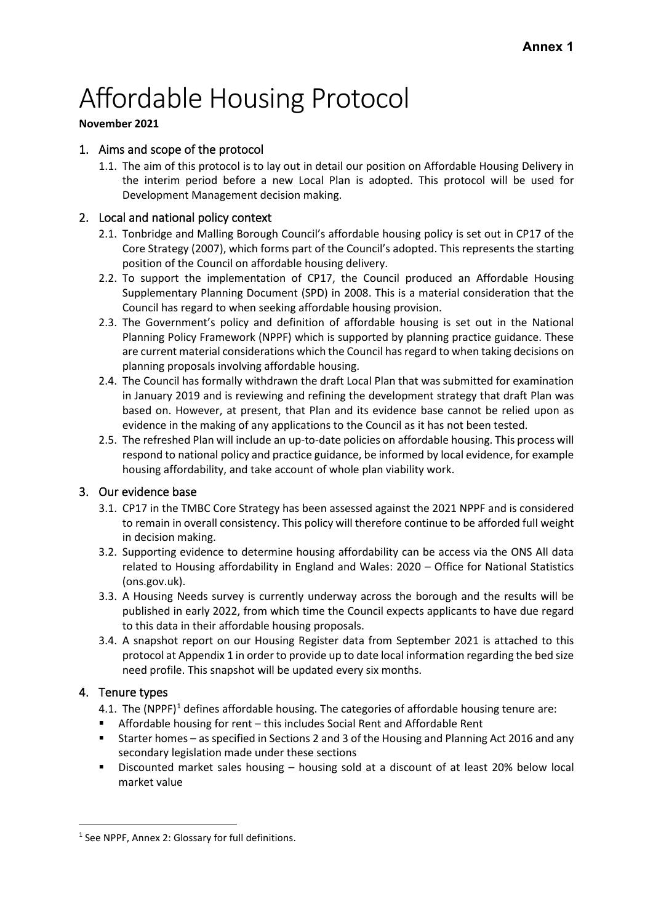# Affordable Housing Protocol

#### **November 2021**

# 1. Aims and scope of the protocol

1.1. The aim of this protocol is to lay out in detail our position on Affordable Housing Delivery in the interim period before a new Local Plan is adopted. This protocol will be used for Development Management decision making.

# 2. Local and national policy context

- 2.1. Tonbridge and Malling Borough Council's affordable housing policy is set out in CP17 of the Core Strategy (2007), which forms part of the Council's adopted. This represents the starting position of the Council on affordable housing delivery.
- 2.2. To support the implementation of CP17, the Council produced an [Affordable Housing](https://www.tmbc.gov.uk/planning/affordable-housing/1)  Supplementary [Planning Document](https://www.tmbc.gov.uk/planning/affordable-housing/1) (SPD) in 2008. This is a material consideration that the Council has regard to when seeking affordable housing provision.
- 2.3. The Government's policy and definition of affordable housing is set out in the [National](https://www.gov.uk/government/publications/national-planning-policy-framework--2)  [Planning Policy Framework](https://www.gov.uk/government/publications/national-planning-policy-framework--2) (NPPF) which is supported by [planning practice guidance.](https://www.gov.uk/government/collections/planning-practice-guidance) These are current material considerations which the Council has regard to when taking decisions on planning proposals involving affordable housing.
- 2.4. The Council has formally withdrawn the draft Local Plan that was submitted for examination in January 2019 and is reviewing and refining the development strategy that draft Plan was based on. However, at present, that Plan and its evidence base cannot be relied upon as evidence in the making of any applications to the Council as it has not been tested.
- 2.5. The refreshed Plan will include an up-to-date policies on affordable housing. This process will respond to national policy and practice guidance, be informed by local evidence, for example housing affordability, and take account of whole plan viability work.

## 3. Our evidence base

- 3.1. CP17 in the TMBC Core Strategy has been assessed against the 2021 NPPF and is considered to remain in overall consistency. This policy will therefore continue to be afforded full weight in decision making.
- 3.2. Supporting evidence to determine housing affordability can be access via the ONS [All data](https://www.ons.gov.uk/peoplepopulationandcommunity/housing/bulletins/housingaffordabilityinenglandandwales/2020/relateddata)  [related to Housing affordability in England and Wales: 2020 –](https://www.ons.gov.uk/peoplepopulationandcommunity/housing/bulletins/housingaffordabilityinenglandandwales/2020/relateddata) Office for National Statistics [\(ons.gov.uk\).](https://www.ons.gov.uk/peoplepopulationandcommunity/housing/bulletins/housingaffordabilityinenglandandwales/2020/relateddata)
- 3.3. A Housing Needs survey is currently underway across the borough and the results will be published in early 2022, from which time the Council expects applicants to have due regard to this data in their affordable housing proposals.
- 3.4. A snapshot report on our Housing Register data from September 2021 is attached to this protocol at Appendix 1 in order to provide up to date local information regarding the bed size need profile. This snapshot will be updated every six months.

## 4. Tenure types

- 4.1. The (NPPF)<sup>1</sup> defines affordable housing. The categories of affordable housing tenure are:
- Affordable housing for rent this includes Social Rent and Affordable Rent
- Starter homes as specified in Sections 2 and 3 of the Housing and Planning Act 2016 and any secondary legislation made under these sections
- Discounted market sales housing housing sold at a discount of at least 20% below local market value

<span id="page-0-0"></span><sup>&</sup>lt;sup>1</sup> See NPPF, Annex 2: Glossary for full definitions.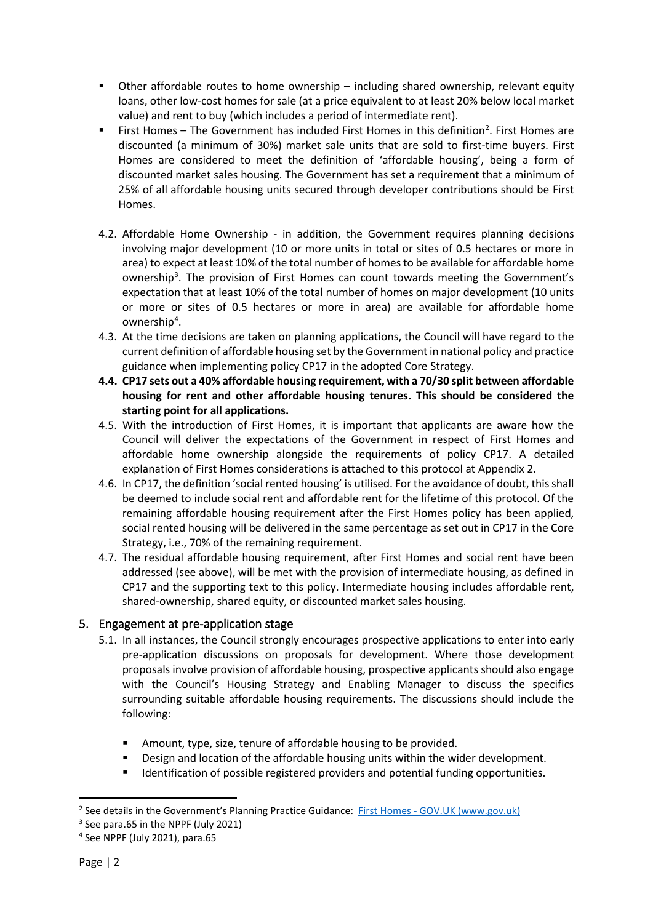- Other affordable routes to home ownership including shared ownership, relevant equity loans, other low-cost homes for sale (at a price equivalent to at least 20% below local market value) and rent to buy (which includes a period of intermediate rent).
- First Homes The Government has included First Homes in this definition<sup>[2](#page-1-0)</sup>. First Homes are discounted (a minimum of 30%) market sale units that are sold to first-time buyers. First Homes are considered to meet the definition of 'affordable housing', being a form of discounted market sales housing. The Government has set a requirement that a minimum of 25% of all affordable housing units secured through developer contributions should be First Homes.
- 4.2. Affordable Home Ownership in addition, the Government requires planning decisions involving major development (10 or more units in total or sites of 0.5 hectares or more in area) to expect at least 10% of the total number of homes to be available for affordable home ownership<sup>[3](#page-1-1)</sup>. The provision of First Homes can count towards meeting the Government's expectation that at least 10% of the total number of homes on major development (10 units or more or sites of 0.5 hectares or more in area) are available for affordable home ownership<sup>[4](#page-1-2)</sup>.
- 4.3. At the time decisions are taken on planning applications, the Council will have regard to the current definition of affordable housing set by the Government in national policy and practice guidance when implementing policy CP17 in the adopted Core Strategy.
- **4.4. CP17 sets out a 40% affordable housing requirement, with a 70/30 split between affordable housing for rent and other affordable housing tenures. This should be considered the starting point for all applications.**
- 4.5. With the introduction of First Homes, it is important that applicants are aware how the Council will deliver the expectations of the Government in respect of First Homes and affordable home ownership alongside the requirements of policy CP17. A detailed explanation of First Homes considerations is attached to this protocol at Appendix 2.
- 4.6. In CP17, the definition 'social rented housing' is utilised. For the avoidance of doubt, this shall be deemed to include social rent and affordable rent for the lifetime of this protocol. Of the remaining affordable housing requirement after the First Homes policy has been applied, social rented housing will be delivered in the same percentage as set out in CP17 in the Core Strategy, i.e., 70% of the remaining requirement.
- 4.7. The residual affordable housing requirement, after First Homes and social rent have been addressed (see above), will be met with the provision of intermediate housing, as defined in CP17 and the supporting text to this policy. Intermediate housing includes affordable rent, shared-ownership, shared equity, or discounted market sales housing.

# 5. Engagement at pre-application stage

- 5.1. In all instances, the Council strongly encourages prospective applications to enter into early pre-application discussions on proposals for development. Where those development proposals involve provision of affordable housing, prospective applicants should also engage with the Council's Housing Strategy and Enabling Manager to discuss the specifics surrounding suitable affordable housing requirements. The discussions should include the following:
	- Amount, type, size, tenure of affordable housing to be provided.
	- **Design and location of the affordable housing units within the wider development.**
	- Identification of possible registered providers and potential funding opportunities.

<span id="page-1-0"></span><sup>&</sup>lt;sup>2</sup> See details in the Government's Planning Practice Guidance: First Homes - [GOV.UK \(www.gov.uk\)](https://www.gov.uk/guidance/first-homes)

<span id="page-1-1"></span><sup>3</sup> See para.65 in the NPPF (July 2021)

<span id="page-1-2"></span><sup>4</sup> See NPPF (July 2021), para.65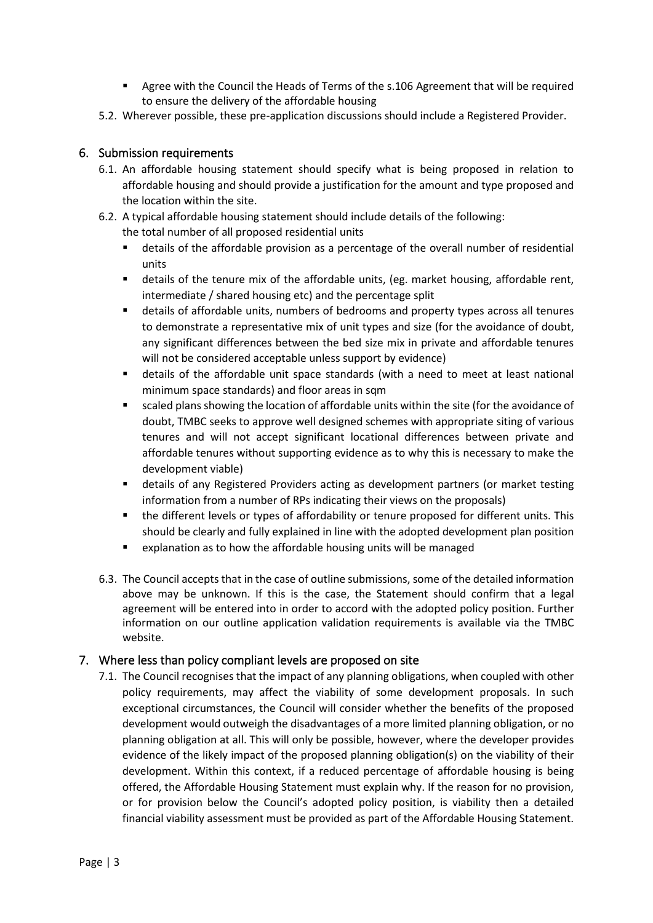- **Agree with the Council the Heads of Terms of the s.106 Agreement that will be required** to ensure the delivery of the affordable housing
- 5.2. Wherever possible, these pre-application discussions should include a Registered Provider.

#### 6. Submission requirements

- 6.1. An affordable housing statement should specify what is being proposed in relation to affordable housing and should provide a justification for the amount and type proposed and the location within the site.
- 6.2. A typical affordable housing statement should include details of the following:
	- the total number of all proposed residential units
	- details of the affordable provision as a percentage of the overall number of residential units
	- details of the tenure mix of the affordable units, (eg. market housing, affordable rent, intermediate / shared housing etc) and the percentage split
	- details of affordable units, numbers of bedrooms and property types across all tenures to demonstrate a representative mix of unit types and size (for the avoidance of doubt, any significant differences between the bed size mix in private and affordable tenures will not be considered acceptable unless support by evidence)
	- details of the affordable unit space standards (with a need to meet at least national minimum space standards) and floor areas in sqm
	- scaled plans showing the location of affordable units within the site (for the avoidance of doubt, TMBC seeks to approve well designed schemes with appropriate siting of various tenures and will not accept significant locational differences between private and affordable tenures without supporting evidence as to why this is necessary to make the development viable)
	- details of any Registered Providers acting as development partners (or market testing information from a number of RPs indicating their views on the proposals)
	- the different levels or types of affordability or tenure proposed for different units. This should be clearly and fully explained in line with the adopted development plan position
	- explanation as to how the affordable housing units will be managed
- 6.3. The Council accepts that in the case of outline submissions, some of the detailed information above may be unknown. If this is the case, the Statement should confirm that a legal agreement will be entered into in order to accord with the adopted policy position. Further information on our outline application validation requirements is available via the TMBC website.

## 7. Where less than policy compliant levels are proposed on site

7.1. The Council recognises that the impact of any planning obligations, when coupled with other policy requirements, may affect the viability of some development proposals. In such exceptional circumstances, the Council will consider whether the benefits of the proposed development would outweigh the disadvantages of a more limited planning obligation, or no planning obligation at all. This will only be possible, however, where the developer provides evidence of the likely impact of the proposed planning obligation(s) on the viability of their development. Within this context, if a reduced percentage of affordable housing is being offered, the Affordable Housing Statement must explain why. If the reason for no provision, or for provision below the Council's adopted policy position, is viability then a detailed financial viability assessment must be provided as part of the Affordable Housing Statement.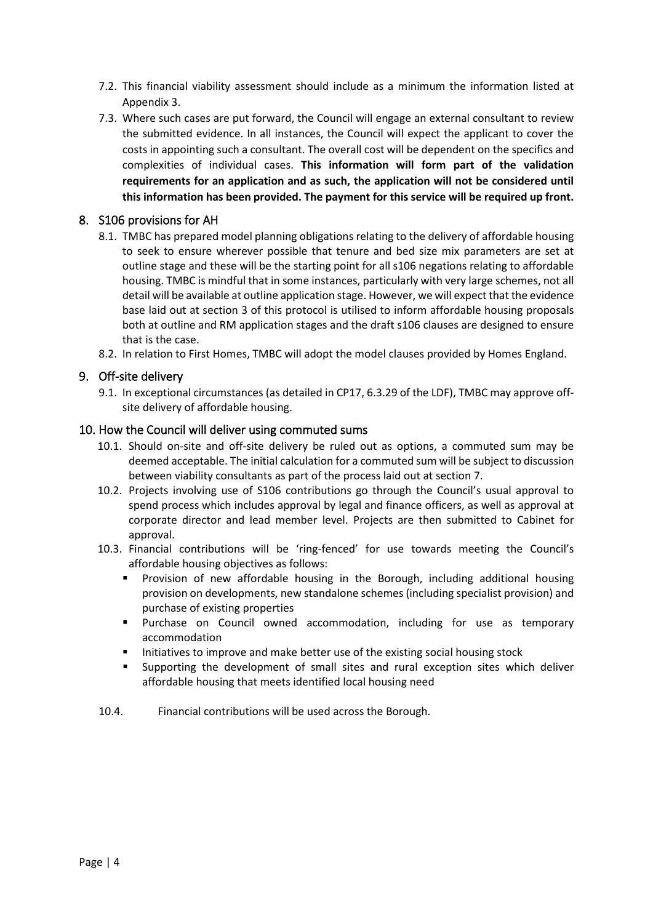- 7.2. This financial viability assessment should include as a minimum the information listed at Appendix 3.
- 7.3. Where such cases are put forward, the Council will engage an external consultant to review the submitted evidence. In all instances, the Council will expect the applicant to cover the costs in appointing such a consultant. The overall cost will be dependent on the specifics and complexities of individual cases. **This information will form part of the validation requirements for an application and as such, the application will not be considered until this information has been provided. The payment for this service will be required up front.**

#### 8. S106 provisions for AH

- 8.1. TMBC has prepared model planning obligations relating to the delivery of affordable housing to seek to ensure wherever possible that tenure and bed size mix parameters are set at outline stage and these will be the starting point for all s106 negations relating to affordable housing. TMBC is mindful that in some instances, particularly with very large schemes, not all detail will be available at outline application stage. However, we will expect that the evidence base laid out at section 3 of this protocol is utilised to inform affordable housing proposals both at outline and RM application stages and the draft s106 clauses are designed to ensure that is the case.
- 8.2. In relation to First Homes, TMBC will adopt the model clauses provided by Homes England.

#### 9. Off-site delivery

9.1. In exceptional circumstances (as detailed in CP17, 6.3.29 of the LDF), TMBC may approve offsite delivery of affordable housing.

#### 10. How the Council will deliver using commuted sums

- 10.1. Should on-site and off-site delivery be ruled out as options, a commuted sum may be deemed acceptable. The initial calculation for a commuted sum will be subject to discussion between viability consultants as part of the process laid out at section 7.
- 10.2. Projects involving use of S106 contributions go through the Council's usual approval to spend process which includes approval by legal and finance officers, as well as approval at corporate director and lead member level. Projects are then submitted to Cabinet for approval.
- 10.3. Financial contributions will be 'ring-fenced' for use towards meeting the Council's affordable housing objectives as follows:
	- Provision of new affordable housing in the Borough, including additional housing provision on developments, new standalone schemes (including specialist provision) and purchase of existing properties
	- Purchase on Council owned accommodation, including for use as temporary accommodation
	- Initiatives to improve and make better use of the existing social housing stock
	- Supporting the development of small sites and rural exception sites which deliver affordable housing that meets identified local housing need
- 10.4. Financial contributions will be used across the Borough.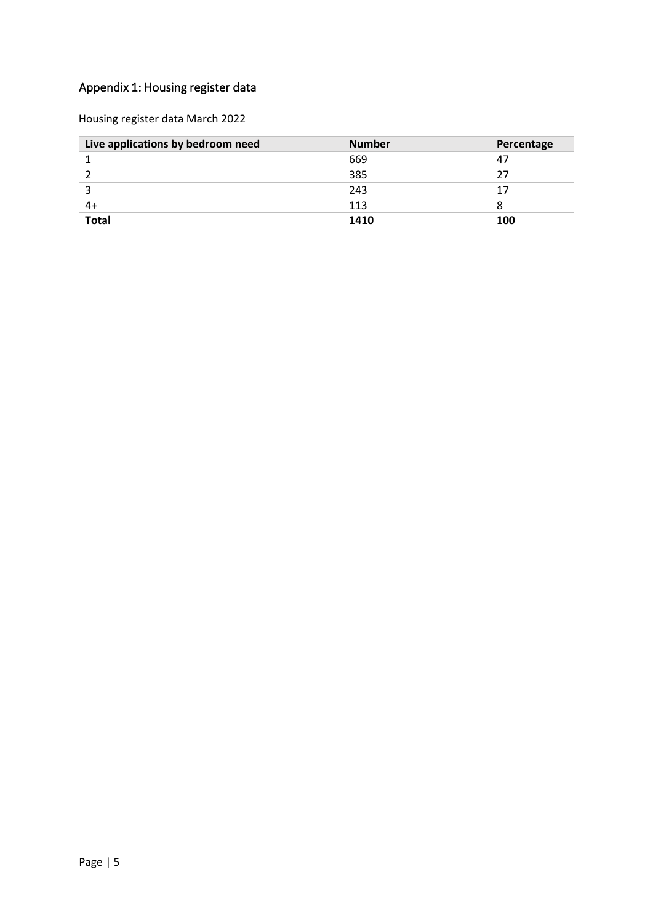# Appendix 1: Housing register data

Housing register data March 2022

| Live applications by bedroom need | <b>Number</b> | Percentage |
|-----------------------------------|---------------|------------|
|                                   | 669           | 47         |
|                                   | 385           | 27         |
|                                   | 243           | 17         |
| 4+                                | 113           | 8          |
| <b>Total</b>                      | 1410          | 100        |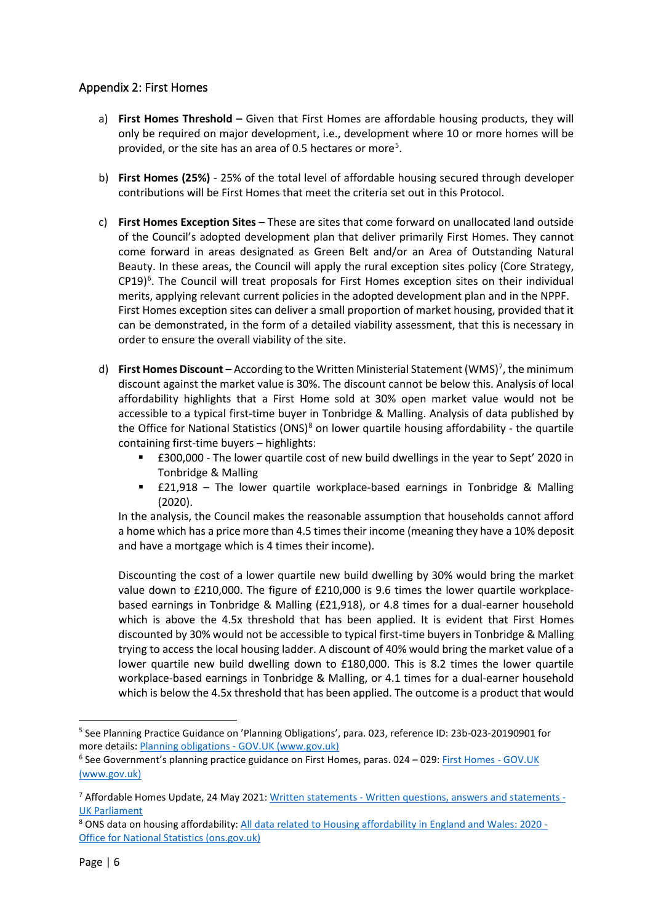## Appendix 2: First Homes

- a) **First Homes Threshold –** Given that First Homes are affordable housing products, they will only be required on major development, i.e., development where 10 or more homes will be provided, or the site has an area of 0.[5](#page-5-0) hectares or more<sup>5</sup>.
- b) **First Homes (25%)** 25% of the total level of affordable housing secured through developer contributions will be First Homes that meet the criteria set out in this Protocol.
- c) **First Homes Exception Sites** These are sites that come forward on unallocated land outside of the Council's adopted development plan that deliver primarily First Homes. They cannot come forward in areas designated as Green Belt and/or an Area of Outstanding Natural Beauty. In these areas, the Council will apply the rural exception sites policy (Core Strategy,  $CP19$ <sup>[6](#page-5-1)</sup>. The Council will treat proposals for First Homes exception sites on their individual merits, applying relevant current policies in the adopted development plan and in the NPPF. First Homes exception sites can deliver a small proportion of market housing, provided that it can be demonstrated, in the form of a detailed viability assessment, that this is necessary in order to ensure the overall viability of the site.
- d) First Homes Discount According to the Written Ministerial Statement (WMS)<sup>[7](#page-5-2)</sup>, the minimum discount against the market value is 30%. The discount cannot be below this. Analysis of local affordability highlights that a First Home sold at 30% open market value would not be accessible to a typical first-time buyer in Tonbridge & Malling. Analysis of data published by the Office for National Statistics (ONS) $8$  on lower quartile housing affordability - the quartile containing first-time buyers – highlights:
	- £300,000 The lower quartile cost of new build dwellings in the year to Sept' 2020 in Tonbridge & Malling
	- £21,918 The lower quartile workplace-based earnings in Tonbridge & Malling (2020).

In the analysis, the Council makes the reasonable assumption that households cannot afford a home which has a price more than 4.5 times their income (meaning they have a 10% deposit and have a mortgage which is 4 times their income).

Discounting the cost of a lower quartile new build dwelling by 30% would bring the market value down to £210,000. The figure of £210,000 is 9.6 times the lower quartile workplacebased earnings in Tonbridge & Malling (£21,918), or 4.8 times for a dual-earner household which is above the 4.5x threshold that has been applied. It is evident that First Homes discounted by 30% would not be accessible to typical first-time buyers in Tonbridge & Malling trying to access the local housing ladder. A discount of 40% would bring the market value of a lower quartile new build dwelling down to £180,000. This is 8.2 times the lower quartile workplace-based earnings in Tonbridge & Malling, or 4.1 times for a dual-earner household which is below the 4.5x threshold that has been applied. The outcome is a product that would

<span id="page-5-0"></span><sup>5</sup> See Planning Practice Guidance on 'Planning Obligations', para. 023, reference ID: 23b-023-20190901 for more details: Planning obligations - [GOV.UK \(www.gov.uk\)](https://www.gov.uk/guidance/planning-obligations)

<span id="page-5-1"></span><sup>6</sup> See Government's planning practice guidance on First Homes, paras. 024 – 029[: First Homes -](https://www.gov.uk/guidance/first-homes#exception-sites) GOV.UK [\(www.gov.uk\)](https://www.gov.uk/guidance/first-homes#exception-sites)

<span id="page-5-2"></span><sup>7</sup> Affordable Homes Update, 24 May 2021: Written statements - [Written questions, answers and statements -](https://questions-statements.parliament.uk/written-statements/detail/2021-05-24/hlws48) [UK Parliament](https://questions-statements.parliament.uk/written-statements/detail/2021-05-24/hlws48)

<span id="page-5-3"></span><sup>8</sup> ONS data on housing affordability[: All data related to Housing affordability in England and Wales: 2020 -](https://www.ons.gov.uk/peoplepopulationandcommunity/housing/bulletins/housingaffordabilityinenglandandwales/2020/relateddata) [Office for National Statistics \(ons.gov.uk\)](https://www.ons.gov.uk/peoplepopulationandcommunity/housing/bulletins/housingaffordabilityinenglandandwales/2020/relateddata)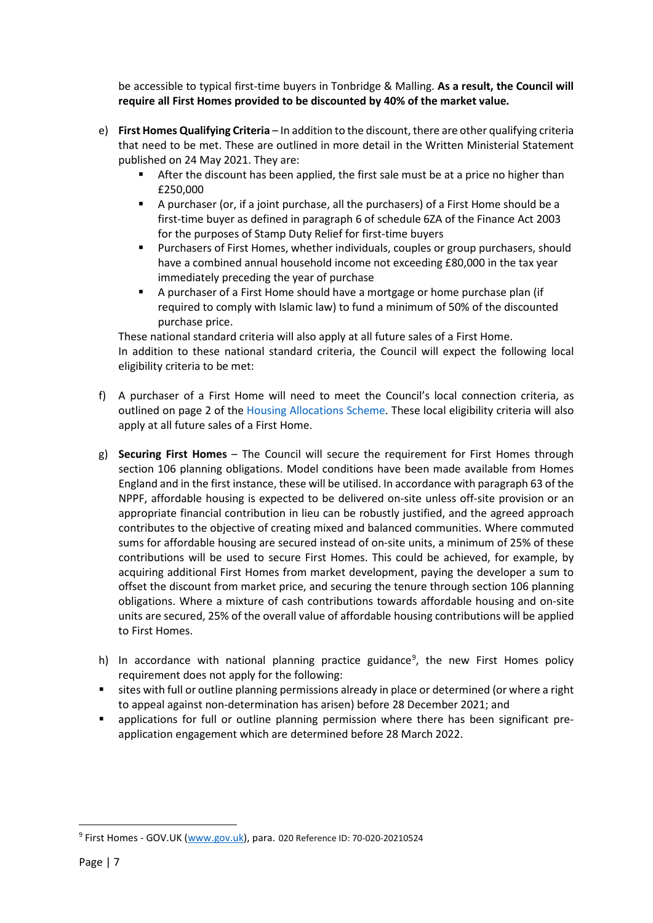be accessible to typical first-time buyers in Tonbridge & Malling. **As a result, the Council will require all First Homes provided to be discounted by 40% of the market value.**

- e) **First Homes Qualifying Criteria** In addition to the discount, there are other qualifying criteria that need to be met. These are outlined in more detail in the [Written Ministerial Statement](https://questions-statements.parliament.uk/written-statements/detail/2021-05-24/hlws48)  [published on 24 May 2021.](https://questions-statements.parliament.uk/written-statements/detail/2021-05-24/hlws48) They are:
	- After the discount has been applied, the first sale must be at a price no higher than £250,000
	- A purchaser (or, if a joint purchase, all the purchasers) of a First Home should be a first-time buyer as defined in paragraph 6 of schedule 6ZA of the Finance Act 2003 for the purposes of Stamp Duty Relief for first-time buyers
	- Purchasers of First Homes, whether individuals, couples or group purchasers, should have a combined annual household income not exceeding £80,000 in the tax year immediately preceding the year of purchase
	- A purchaser of a First Home should have a mortgage or home purchase plan (if required to comply with Islamic law) to fund a minimum of 50% of the discounted purchase price.

These national standard criteria will also apply at all future sales of a First Home. In addition to these national standard criteria, the Council will expect the following local eligibility criteria to be met:

- f) A purchaser of a First Home will need to meet the Council's local connection criteria, as outlined on page 2 of the [Housing Allocations Scheme.](https://www.tmbc.gov.uk/downloads/download/44/housing-allocation-scheme) These local eligibility criteria will also apply at all future sales of a First Home.
- g) **Securing First Homes** The Council will secure the requirement for First Homes through section 106 planning obligations. Model conditions have been made available from Homes England and in the first instance, these will be utilised. In accordance with paragraph 63 of the NPPF, affordable housing is expected to be delivered on-site unless off-site provision or an appropriate financial contribution in lieu can be robustly justified, and the agreed approach contributes to the objective of creating mixed and balanced communities. Where commuted sums for affordable housing are secured instead of on-site units, a minimum of 25% of these contributions will be used to secure First Homes. This could be achieved, for example, by acquiring additional First Homes from market development, paying the developer a sum to offset the discount from market price, and securing the tenure through section 106 planning obligations. Where a mixture of cash contributions towards affordable housing and on-site units are secured, 25% of the overall value of affordable housing contributions will be applied to First Homes.
- h) In accordance with national planning practice guidance<sup>[9](#page-6-0)</sup>, the new First Homes policy requirement does not apply for the following:
- sites with full or outline planning permissions already in place or determined (or where a right to appeal against non-determination has arisen) before 28 December 2021; and
- applications for full or outline planning permission where there has been significant preapplication engagement which are determined before 28 March 2022.

<span id="page-6-0"></span><sup>&</sup>lt;sup>9</sup> First Homes - GOV.UK [\(www.gov.uk\)](http://www.gov.uk/), para. 020 Reference ID: 70-020-20210524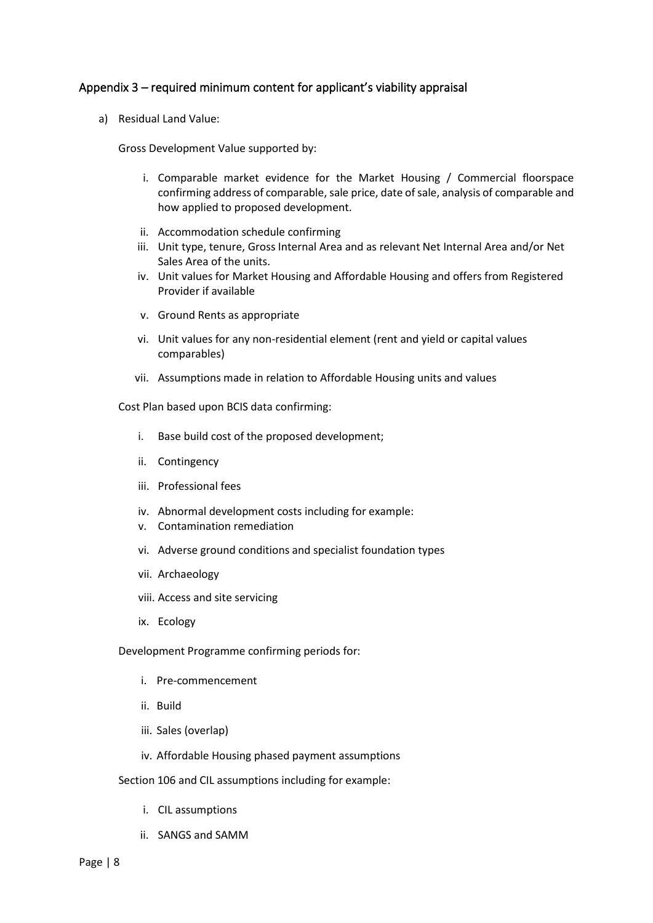#### Appendix 3 – required minimum content for applicant's viability appraisal

a) Residual Land Value:

Gross Development Value supported by:

- i. Comparable market evidence for the Market Housing / Commercial floorspace confirming address of comparable, sale price, date of sale, analysis of comparable and how applied to proposed development.
- ii. Accommodation schedule confirming
- iii. Unit type, tenure, Gross Internal Area and as relevant Net Internal Area and/or Net Sales Area of the units.
- iv. Unit values for Market Housing and Affordable Housing and offers from Registered Provider if available
- v. Ground Rents as appropriate
- vi. Unit values for any non-residential element (rent and yield or capital values comparables)
- vii. Assumptions made in relation to Affordable Housing units and values

Cost Plan based upon BCIS data confirming:

- i. Base build cost of the proposed development;
- ii. Contingency
- iii. Professional fees
- iv. Abnormal development costs including for example:
- v. Contamination remediation
- vi. Adverse ground conditions and specialist foundation types
- vii. Archaeology
- viii. Access and site servicing
- ix. Ecology

Development Programme confirming periods for:

- i. Pre-commencement
- ii. Build
- iii. Sales (overlap)
- iv. Affordable Housing phased payment assumptions
- Section 106 and CIL assumptions including for example:
	- i. CIL assumptions
	- ii. SANGS and SAMM